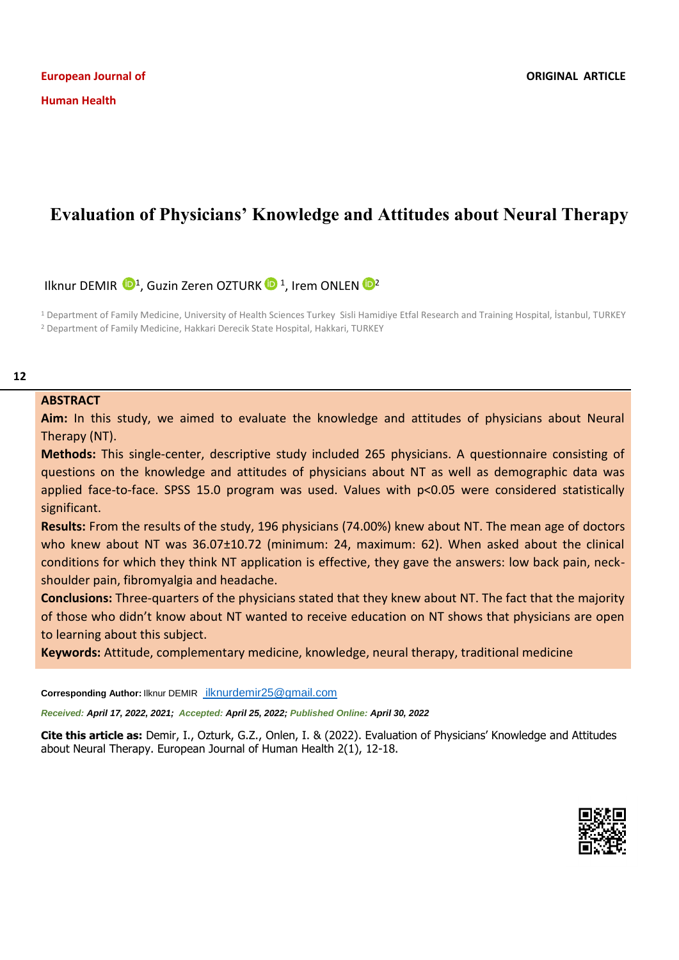# **Evaluation of Physicians' Knowledge and Attitudes about Neural Therapy**

Ilknur DEMIR <sup>[1](https://orcid.org/0000-0003-0055-7186)</sup>, Guzin Zeren OZTURK <sup>1</sup>, Irem ONLEN <sup>1</sup>

<sup>1</sup> Department of Family Medicine, University of Health Sciences Turkey Sisli Hamidiye Etfal Research and Training Hospital, İstanbul, TURKEY <sup>2</sup> Department of Family Medicine, Hakkari Derecik State Hospital, Hakkari, TURKEY

## **ABSTRACT**

**Aim:** In this study, we aimed to evaluate the knowledge and attitudes of physicians about Neural Therapy (NT).

**Methods:** This single-center, descriptive study included 265 physicians. A questionnaire consisting of questions on the knowledge and attitudes of physicians about NT as well as demographic data was applied face-to-face. SPSS 15.0 program was used. Values with p<0.05 were considered statistically significant.

**Results:** From the results of the study, 196 physicians (74.00%) knew about NT. The mean age of doctors who knew about NT was 36.07±10.72 (minimum: 24, maximum: 62). When asked about the clinical conditions for which they think NT application is effective, they gave the answers: low back pain, neckshoulder pain, fibromyalgia and headache.

**Conclusions:** Three-quarters of the physicians stated that they knew about NT. The fact that the majority of those who didn't know about NT wanted to receive education on NT shows that physicians are open to learning about this subject.

**Keywords:** Attitude, complementary medicine, knowledge, neural therapy, traditional medicine

**Corresponding Author: Ilknur DEMIR [ilknurdemir25@gmail.com](mailto:ilknurdemir25@gmail.com)** 

*Received: April 17, 2022, 2021; Accepted: April 25, 2022; Published Online: April 30, 2022*

**Cite this article as:** Demir, I., Ozturk, G.Z., Onlen, I. & (2022). Evaluation of Physicians' Knowledge and Attitudes about Neural Therapy. European Journal of Human Health 2(1), 12-18.

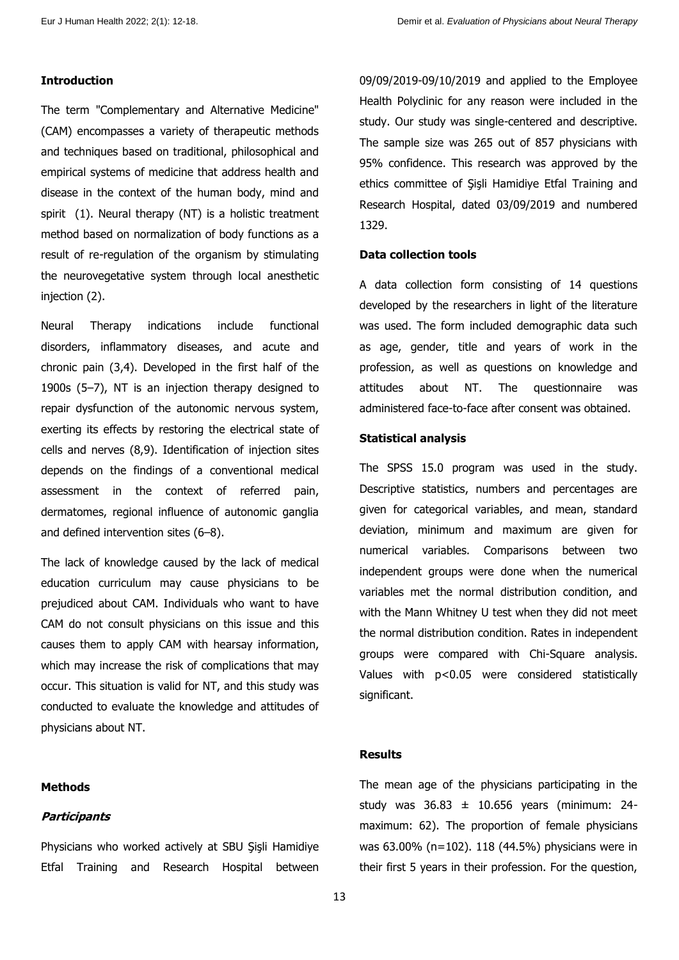# **Introduction**

The term "Complementary and Alternative Medicine" (CAM) encompasses a variety of therapeutic methods and techniques based on traditional, philosophical and empirical systems of medicine that address health and disease in the context of the human body, mind and spirit (1). Neural therapy (NT) is a holistic treatment method based on normalization of body functions as a result of re-regulation of the organism by stimulating the neurovegetative system through local anesthetic injection (2).

Neural Therapy indications include functional disorders, inflammatory diseases, and acute and chronic pain (3,4). Developed in the first half of the 1900s (5–7), NT is an injection therapy designed to repair dysfunction of the autonomic nervous system, exerting its effects by restoring the electrical state of cells and nerves (8,9). Identification of injection sites depends on the findings of a conventional medical assessment in the context of referred pain, dermatomes, regional influence of autonomic ganglia and defined intervention sites (6–8).

The lack of knowledge caused by the lack of medical education curriculum may cause physicians to be prejudiced about CAM. Individuals who want to have CAM do not consult physicians on this issue and this causes them to apply CAM with hearsay information, which may increase the risk of complications that may occur. This situation is valid for NT, and this study was conducted to evaluate the knowledge and attitudes of physicians about NT.

#### **Methods**

## **Participants**

Physicians who worked actively at SBU Şişli Hamidiye Etfal Training and Research Hospital between

09/09/2019-09/10/2019 and applied to the Employee Health Polyclinic for any reason were included in the study. Our study was single-centered and descriptive. The sample size was 265 out of 857 physicians with 95% confidence. This research was approved by the ethics committee of Şişli Hamidiye Etfal Training and Research Hospital, dated 03/09/2019 and numbered 1329.

## **Data collection tools**

A data collection form consisting of 14 questions developed by the researchers in light of the literature was used. The form included demographic data such as age, gender, title and years of work in the profession, as well as questions on knowledge and attitudes about NT. The questionnaire was administered face-to-face after consent was obtained.

#### **Statistical analysis**

The SPSS 15.0 program was used in the study. Descriptive statistics, numbers and percentages are given for categorical variables, and mean, standard deviation, minimum and maximum are given for numerical variables. Comparisons between two independent groups were done when the numerical variables met the normal distribution condition, and with the Mann Whitney U test when they did not meet the normal distribution condition. Rates in independent groups were compared with Chi-Square analysis. Values with p<0.05 were considered statistically significant.

# **Results**

The mean age of the physicians participating in the study was  $36.83 \pm 10.656$  years (minimum: 24maximum: 62). The proportion of female physicians was 63.00% (n=102). 118 (44.5%) physicians were in their first 5 years in their profession. For the question,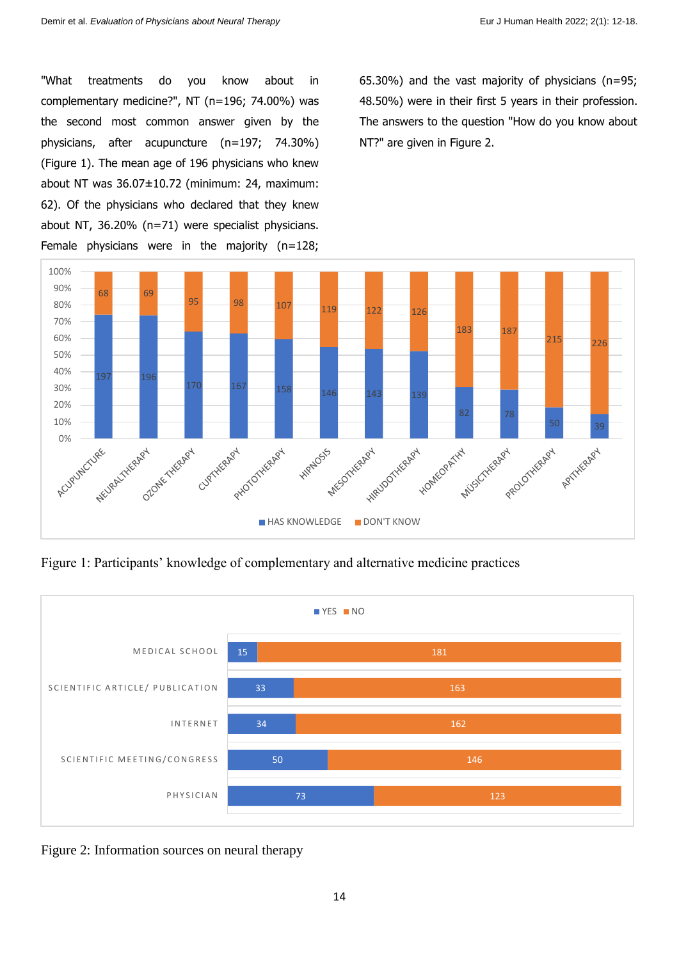"What treatments do you know about in complementary medicine?", NT (n=196; 74.00%) was the second most common answer given by the physicians, after acupuncture (n=197; 74.30%) (Figure 1). The mean age of 196 physicians who knew about NT was 36.07±10.72 (minimum: 24, maximum: 62). Of the physicians who declared that they knew about NT, 36.20% (n=71) were specialist physicians. Female physicians were in the majority (n=128;

65.30%) and the vast majority of physicians (n=95; 48.50%) were in their first 5 years in their profession. The answers to the question "How do you know about NT?" are given in Figure 2.



Figure 1: Participants' knowledge of complementary and alternative medicine practices



Figure 2: Information sources on neural therapy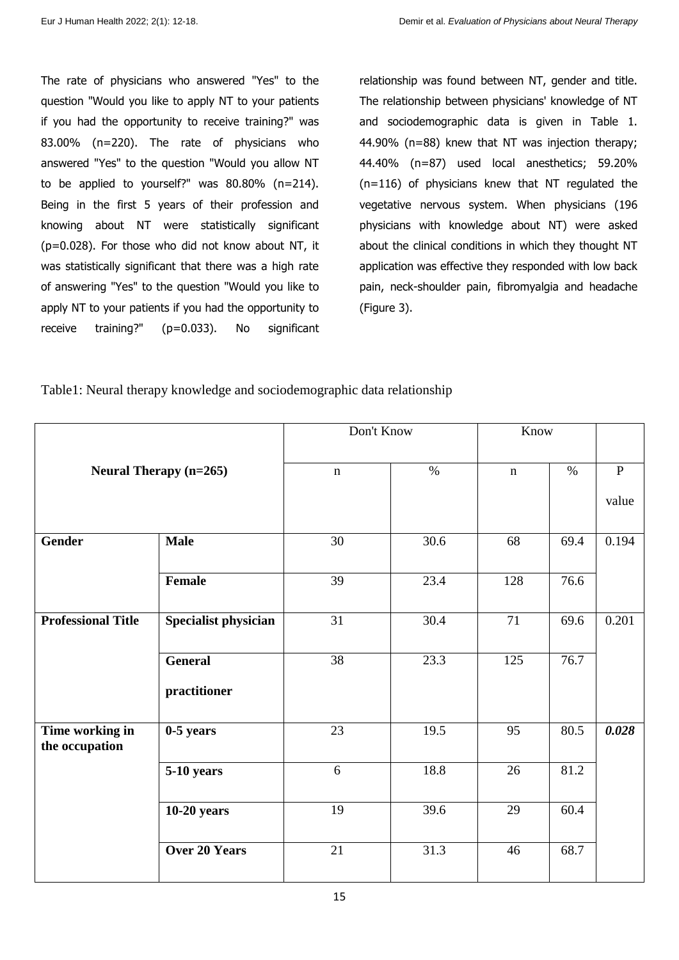The rate of physicians who answered "Yes" to the question "Would you like to apply NT to your patients if you had the opportunity to receive training?" was 83.00% (n=220). The rate of physicians who answered "Yes" to the question "Would you allow NT to be applied to yourself?" was 80.80% (n=214). Being in the first 5 years of their profession and knowing about NT were statistically significant (p=0.028). For those who did not know about NT, it was statistically significant that there was a high rate of answering "Yes" to the question "Would you like to apply NT to your patients if you had the opportunity to receive training?" (p=0.033). No significant

relationship was found between NT, gender and title. The relationship between physicians' knowledge of NT and sociodemographic data is given in Table 1. 44.90% (n=88) knew that NT was injection therapy; 44.40% (n=87) used local anesthetics; 59.20% (n=116) of physicians knew that NT regulated the vegetative nervous system. When physicians (196 physicians with knowledge about NT) were asked about the clinical conditions in which they thought NT application was effective they responded with low back pain, neck-shoulder pain, fibromyalgia and headache (Figure 3).

Table1: Neural therapy knowledge and sociodemographic data relationship

| <b>Neural Therapy (n=265)</b>     |                             | Don't Know  |      | Know        |      |              |
|-----------------------------------|-----------------------------|-------------|------|-------------|------|--------------|
|                                   |                             | $\mathbf n$ | $\%$ | $\mathbf n$ | $\%$ | $\, {\bf P}$ |
|                                   |                             |             |      |             |      | value        |
| <b>Gender</b>                     | <b>Male</b>                 | 30          | 30.6 | 68          | 69.4 | 0.194        |
|                                   | Female                      | 39          | 23.4 | 128         | 76.6 |              |
| <b>Professional Title</b>         | <b>Specialist physician</b> | 31          | 30.4 | 71          | 69.6 | 0.201        |
|                                   | <b>General</b>              | 38          | 23.3 | 125         | 76.7 |              |
|                                   | practitioner                |             |      |             |      |              |
| Time working in<br>the occupation | $0-5$ years                 | 23          | 19.5 | 95          | 80.5 | 0.028        |
|                                   | 5-10 years                  | 6           | 18.8 | 26          | 81.2 |              |
|                                   | $10-20$ years               | 19          | 39.6 | 29          | 60.4 |              |
|                                   | <b>Over 20 Years</b>        | 21          | 31.3 | 46          | 68.7 |              |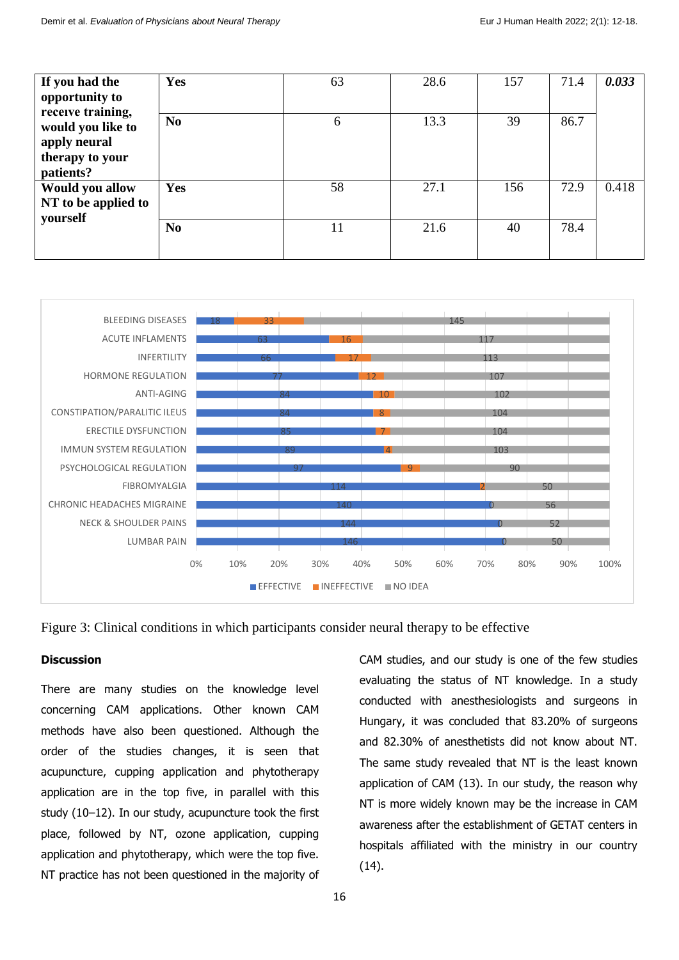| If you had the<br>opportunity to<br>receive training,<br>would you like to<br>apply neural<br>therapy to your<br>patients? | Yes            | 63 | 28.6 | 157 | 71.4 | 0.033 |
|----------------------------------------------------------------------------------------------------------------------------|----------------|----|------|-----|------|-------|
|                                                                                                                            | N <sub>0</sub> | 6  | 13.3 | 39  | 86.7 |       |
| Would you allow<br>NT to be applied to<br>yourself                                                                         | Yes            | 58 | 27.1 | 156 | 72.9 | 0.418 |
|                                                                                                                            | N <sub>0</sub> | 11 | 21.6 | 40  | 78.4 |       |



Figure 3: Clinical conditions in which participants consider neural therapy to be effective

# **Discussion**

There are many studies on the knowledge level concerning CAM applications. Other known CAM methods have also been questioned. Although the order of the studies changes, it is seen that acupuncture, cupping application and phytotherapy application are in the top five, in parallel with this study (10–12). In our study, acupuncture took the first place, followed by NT, ozone application, cupping application and phytotherapy, which were the top five. NT practice has not been questioned in the majority of

16

CAM studies, and our study is one of the few studies evaluating the status of NT knowledge. In a study conducted with anesthesiologists and surgeons in Hungary, it was concluded that 83.20% of surgeons and 82.30% of anesthetists did not know about NT. The same study revealed that NT is the least known application of CAM (13). In our study, the reason why NT is more widely known may be the increase in CAM awareness after the establishment of GETAT centers in hospitals affiliated with the ministry in our country (14).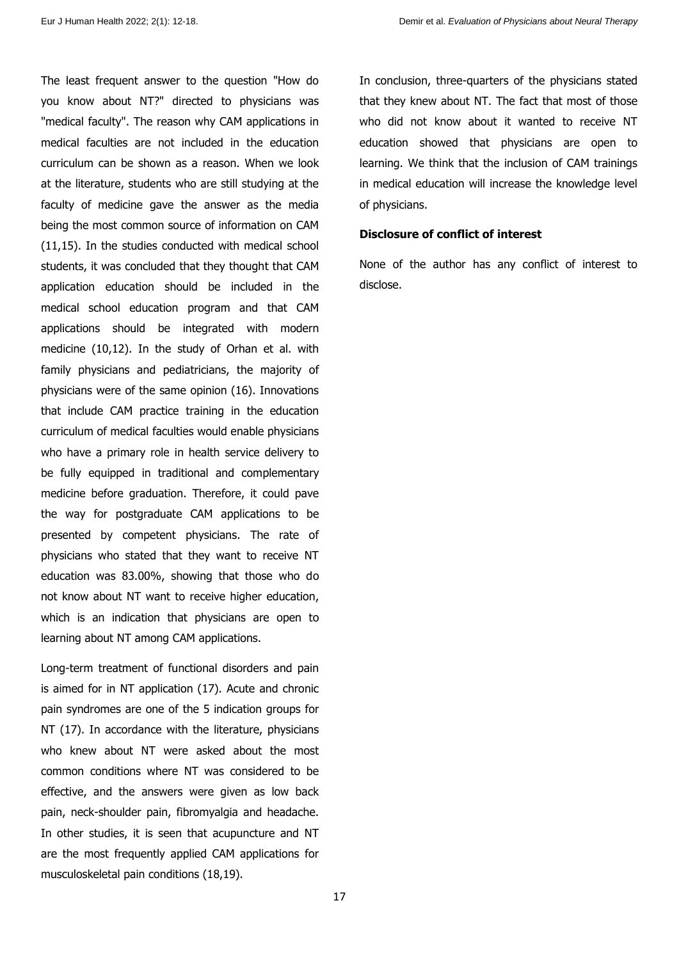The least frequent answer to the question "How do you know about NT?" directed to physicians was "medical faculty". The reason why CAM applications in medical faculties are not included in the education curriculum can be shown as a reason. When we look at the literature, students who are still studying at the faculty of medicine gave the answer as the media being the most common source of information on CAM (11,15). In the studies conducted with medical school students, it was concluded that they thought that CAM application education should be included in the medical school education program and that CAM applications should be integrated with modern medicine (10,12). In the study of Orhan et al. with family physicians and pediatricians, the majority of physicians were of the same opinion (16). Innovations that include CAM practice training in the education curriculum of medical faculties would enable physicians who have a primary role in health service delivery to be fully equipped in traditional and complementary medicine before graduation. Therefore, it could pave the way for postgraduate CAM applications to be presented by competent physicians. The rate of physicians who stated that they want to receive NT education was 83.00%, showing that those who do not know about NT want to receive higher education, which is an indication that physicians are open to learning about NT among CAM applications.

Long-term treatment of functional disorders and pain is aimed for in NT application (17). Acute and chronic pain syndromes are one of the 5 indication groups for NT (17). In accordance with the literature, physicians who knew about NT were asked about the most common conditions where NT was considered to be effective, and the answers were given as low back pain, neck-shoulder pain, fibromyalgia and headache. In other studies, it is seen that acupuncture and NT are the most frequently applied CAM applications for musculoskeletal pain conditions (18,19).

In conclusion, three-quarters of the physicians stated that they knew about NT. The fact that most of those who did not know about it wanted to receive NT education showed that physicians are open to learning. We think that the inclusion of CAM trainings in medical education will increase the knowledge level of physicians.

#### **Disclosure of conflict of interest**

None of the author has any conflict of interest to disclose.